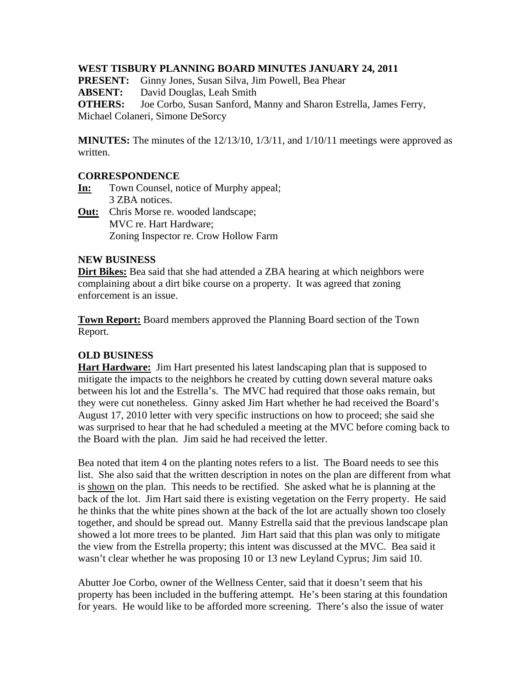#### **WEST TISBURY PLANNING BOARD MINUTES JANUARY 24, 2011**

**PRESENT:** Ginny Jones, Susan Silva, Jim Powell, Bea Phear

**ABSENT:** David Douglas, Leah Smith

**OTHERS:** Joe Corbo, Susan Sanford, Manny and Sharon Estrella, James Ferry,

Michael Colaneri, Simone DeSorcy

**MINUTES:** The minutes of the 12/13/10, 1/3/11, and 1/10/11 meetings were approved as written.

## **CORRESPONDENCE**

- **In:** Town Counsel, notice of Murphy appeal; 3 ZBA notices.
- **Out:** Chris Morse re. wooded landscape; MVC re. Hart Hardware; Zoning Inspector re. Crow Hollow Farm

#### **NEW BUSINESS**

**Dirt Bikes:** Bea said that she had attended a ZBA hearing at which neighbors were complaining about a dirt bike course on a property. It was agreed that zoning enforcement is an issue.

**Town Report:** Board members approved the Planning Board section of the Town Report.

# **OLD BUSINESS**

**Hart Hardware:** Jim Hart presented his latest landscaping plan that is supposed to mitigate the impacts to the neighbors he created by cutting down several mature oaks between his lot and the Estrella's. The MVC had required that those oaks remain, but they were cut nonetheless. Ginny asked Jim Hart whether he had received the Board's August 17, 2010 letter with very specific instructions on how to proceed; she said she was surprised to hear that he had scheduled a meeting at the MVC before coming back to the Board with the plan. Jim said he had received the letter.

Bea noted that item 4 on the planting notes refers to a list. The Board needs to see this list. She also said that the written description in notes on the plan are different from what is shown on the plan. This needs to be rectified. She asked what he is planning at the back of the lot. Jim Hart said there is existing vegetation on the Ferry property. He said he thinks that the white pines shown at the back of the lot are actually shown too closely together, and should be spread out. Manny Estrella said that the previous landscape plan showed a lot more trees to be planted. Jim Hart said that this plan was only to mitigate the view from the Estrella property; this intent was discussed at the MVC. Bea said it wasn't clear whether he was proposing 10 or 13 new Leyland Cyprus; Jim said 10.

Abutter Joe Corbo, owner of the Wellness Center, said that it doesn't seem that his property has been included in the buffering attempt. He's been staring at this foundation for years. He would like to be afforded more screening. There's also the issue of water